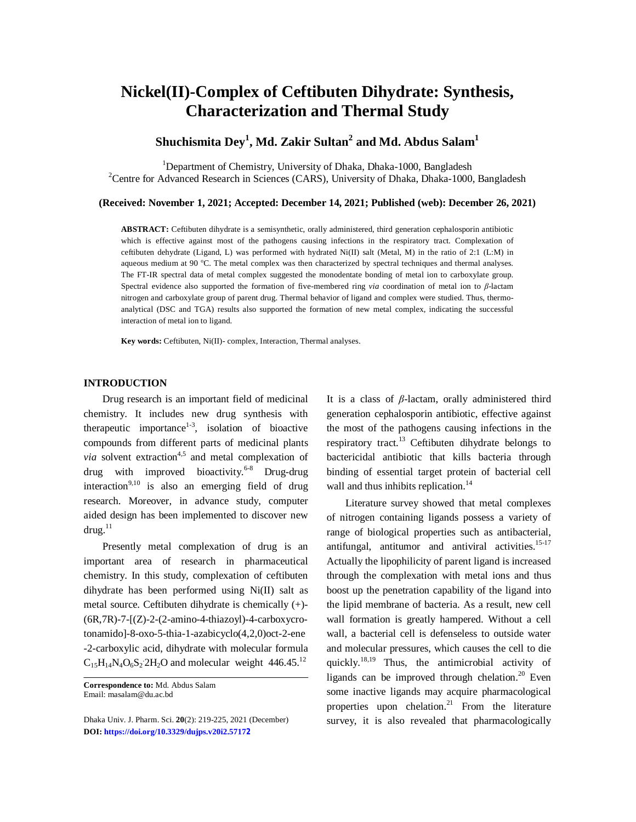# **Nickel(II)-Complex of Ceftibuten Dihydrate: Synthesis, Characterization and Thermal Study**

# **Shuchismita Dey<sup>1</sup> , Md. Zakir Sultan<sup>2</sup> and Md. Abdus Salam<sup>1</sup>**

<sup>1</sup>Department of Chemistry, University of Dhaka, Dhaka-1000, Bangladesh <sup>2</sup>Centre for Advanced Research in Sciences (CARS), University of Dhaka, Dhaka-1000, Bangladesh

### **(Received: November 1, 2021; Accepted: December 14, 2021; Published (web): December 26, 2021)**

**ABSTRACT:** Ceftibuten dihydrate is a semisynthetic, orally administered, third generation cephalosporin antibiotic which is effective against most of the pathogens causing infections in the respiratory tract. Complexation of ceftibuten dehydrate (Ligand, L) was performed with hydrated Ni(II) salt (Metal, M) in the ratio of 2:1 (L:M) in aqueous medium at 90  $^{\circ}$ C. The metal complex was then characterized by spectral techniques and thermal analyses. The FT-IR spectral data of metal complex suggested the monodentate bonding of metal ion to carboxylate group. Spectral evidence also supported the formation of five-membered ring *via* coordination of metal ion to *β*-lactam nitrogen and carboxylate group of parent drug. Thermal behavior of ligand and complex were studied. Thus, thermoanalytical (DSC and TGA) results also supported the formation of new metal complex, indicating the successful interaction of metal ion to ligand.

**Key words:** Ceftibuten, Ni(II)- complex, Interaction, Thermal analyses.

# **INTRODUCTION**

Drug research is an important field of medicinal chemistry. It includes new drug synthesis with therapeutic importance<sup>1-3</sup>, isolation of bioactive compounds from different parts of medicinal plants *via* solvent extraction<sup>4,5</sup> and metal complexation of drug with improved bioactivity.<sup>6-8</sup> Drug-drug interaction<sup>9,10</sup> is also an emerging field of drug research. Moreover, in advance study, computer aided design has been implemented to discover new  $d$ rug. $^{11}$ 

Presently metal complexation of drug is an important area of research in pharmaceutical chemistry. In this study, complexation of ceftibuten dihydrate has been performed using Ni(II) salt as metal source. Ceftibuten dihydrate is chemically (+)- (6R,7R)-7-[(Z)-2-(2-amino-4-thiazoyl)-4-carboxycrotonamido]-8-oxo-5-thia-1-azabicyclo(4,2,0)oct-2-ene -2-carboxylic acid, dihydrate with molecular formula  $C_{15}H_{14}N_4O_6S_2 2H_2O$  and molecular weight 446.45.<sup>12</sup>

It is a class of *β*-lactam, orally administered third generation cephalosporin antibiotic, effective against the most of the pathogens causing infections in the respiratory tract.<sup>13</sup> Ceftibuten dihydrate belongs to bactericidal antibiotic that kills bacteria through binding of essential target protein of bacterial cell wall and thus inhibits replication.<sup>14</sup>

Literature survey showed that metal complexes of nitrogen containing ligands possess a variety of range of biological properties such as antibacterial, antifungal, antitumor and antiviral activities. 15-17 Actually the lipophilicity of parent ligand is increased through the complexation with metal ions and thus boost up the penetration capability of the ligand into the lipid membrane of bacteria. As a result, new cell wall formation is greatly hampered. Without a cell wall, a bacterial cell is defenseless to outside water and molecular pressures, which causes the cell to die quickly.<sup>18,19</sup> Thus, the antimicrobial activity of ligands can be improved through chelation.<sup>20</sup> Even some inactive ligands may acquire pharmacological properties upon chelation.<sup>21</sup> From the literature survey, it is also revealed that pharmacologically

**Correspondence to:** Md. Abdus Salam Email: [masalam@du.ac.bd](mailto:masalam@du.ac.bd)

Dhaka Univ. J. Pharm. Sci. **20**(2): 219-225, 2021 (December) **DOI:<https://doi.org/10.3329/dujps.v20i2.5717>2**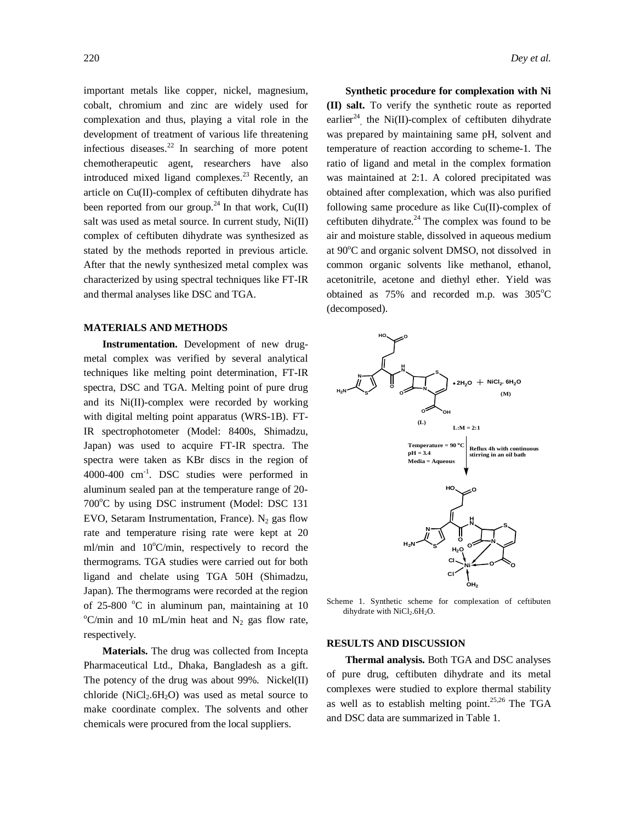important metals like copper, nickel, magnesium, cobalt, chromium and zinc are widely used for complexation and thus, playing a vital role in the development of treatment of various life threatening infectious diseases. <sup>22</sup> In searching of more potent chemotherapeutic agent, researchers have also introduced mixed ligand complexes.<sup>23</sup> Recently, an article on Cu(II)-complex of ceftibuten dihydrate has been reported from our group.<sup>24</sup> In that work,  $Cu(II)$ salt was used as metal source. In current study,  $Ni(II)$ complex of ceftibuten dihydrate was synthesized as stated by the methods reported in previous article. After that the newly synthesized metal complex was characterized by using spectral techniques like FT-IR and thermal analyses like DSC and TGA.

## **MATERIALS AND METHODS**

**Instrumentation.** Development of new drugmetal complex was verified by several analytical techniques like melting point determination, FT-IR spectra, DSC and TGA. Melting point of pure drug and its Ni(II)-complex were recorded by working with digital melting point apparatus (WRS-1B). FT-IR spectrophotometer (Model: 8400s, Shimadzu, Japan) was used to acquire FT-IR spectra. The spectra were taken as KBr discs in the region of 4000-400 cm-1 . DSC studies were performed in aluminum sealed pan at the temperature range of 20- 700°C by using DSC instrument (Model: DSC 131 EVO, Setaram Instrumentation, France).  $N_2$  gas flow rate and temperature rising rate were kept at 20 ml/min and  $10^{\circ}$ C/min, respectively to record the thermograms. TGA studies were carried out for both ligand and chelate using TGA 50H (Shimadzu, Japan). The thermograms were recorded at the region of 25-800  $^{\circ}$ C in aluminum pan, maintaining at 10  $\rm{^{\circ}C/min}$  and 10 mL/min heat and N<sub>2</sub> gas flow rate, respectively.

**Materials.** The drug was collected from Incepta Pharmaceutical Ltd., Dhaka, Bangladesh as a gift. The potency of the drug was about 99%. Nickel(II) chloride ( $NiCl<sub>2</sub>.6H<sub>2</sub>O$ ) was used as metal source to make coordinate complex. The solvents and other chemicals were procured from the local suppliers.

**Synthetic procedure for complexation with Ni (II) salt.** To verify the synthetic route as reported earlier<sup>24</sup>, the Ni(II)-complex of ceftibuten dihydrate was prepared by maintaining same pH, solvent and temperature of reaction according to scheme-1. The ratio of ligand and metal in the complex formation was maintained at 2:1. A colored precipitated was obtained after complexation, which was also purified following same procedure as like Cu(II)-complex of ceftibuten dihydrate. $^{24}$  The complex was found to be air and moisture stable, dissolved in aqueous medium at 90°C and organic solvent DMSO, not dissolved in common organic solvents like methanol, ethanol, acetonitrile, acetone and diethyl ether. Yield was obtained as  $75\%$  and recorded m.p. was  $305^{\circ}$ C (decomposed).



Scheme 1. Synthetic scheme for complexation of ceftibuten dihydrate with NiCl<sub>2</sub>.6H<sub>2</sub>O.

#### **RESULTS AND DISCUSSION**

**Thermal analysis.** Both TGA and DSC analyses of pure drug, ceftibuten dihydrate and its metal complexes were studied to explore thermal stability as well as to establish melting point.<sup>25,26</sup> The TGA and DSC data are summarized in Table 1.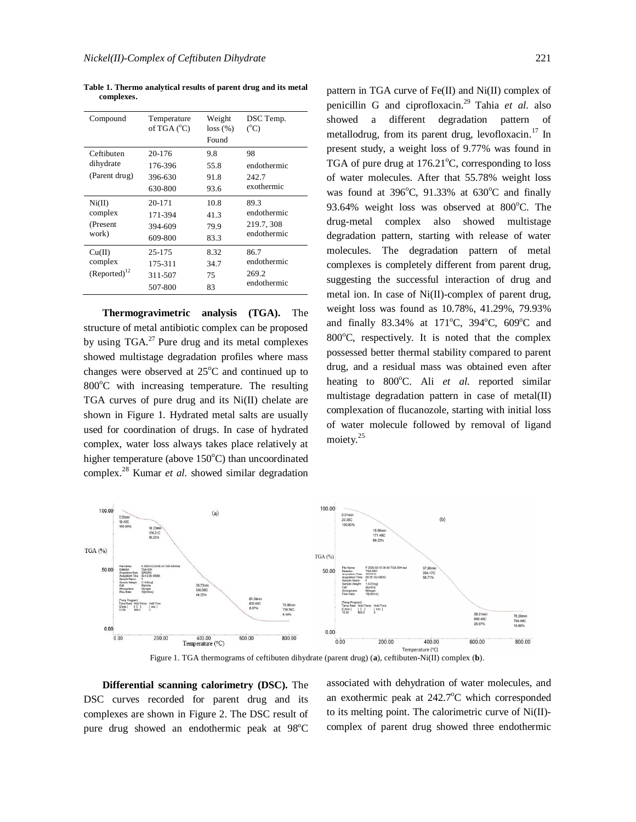**Table 1. Thermo analytical results of parent drug and its metal complexes.**

| Compound                                 | Temperature<br>of TGA $(^{\circ}C)$     | Weight<br>$loss (\%)$<br>Found | DSC Temp.<br>$({}^{\circ}C)$                     |
|------------------------------------------|-----------------------------------------|--------------------------------|--------------------------------------------------|
| Ceftibuten<br>dihydrate<br>(Parent drug) | 20-176<br>176-396<br>396-630<br>630-800 | 9.8<br>55.8<br>91.8<br>93.6    | 98<br>endothermic<br>242.7<br>exothermic         |
| Ni(II)<br>complex<br>(Present<br>work)   | 20-171<br>171-394<br>394-609<br>609-800 | 10.8<br>41.3<br>79.9<br>83.3   | 89.3<br>endothermic<br>219.7, 308<br>endothermic |
| Cu(II)<br>complex<br>$(Reported)^{12}$   | 25-175<br>175-311<br>311-507<br>507-800 | 8.32<br>34.7<br>75<br>83       | 86.7<br>endothermic<br>269.2<br>endothermic      |

**Thermogravimetric analysis (TGA).** The structure of metal antibiotic complex can be proposed by using TGA.<sup>27</sup> Pure drug and its metal complexes showed multistage degradation profiles where mass changes were observed at  $25^{\circ}$ C and continued up to  $800^{\circ}$ C with increasing temperature. The resulting TGA curves of pure drug and its Ni(II) chelate are shown in Figure 1. Hydrated metal salts are usually used for coordination of drugs. In case of hydrated complex, water loss always takes place relatively at higher temperature (above  $150^{\circ}$ C) than uncoordinated complex.<sup>28</sup> Kumar *et al.* showed similar degradation pattern in TGA curve of Fe(II) and Ni(II) complex of penicillin G and ciprofloxacin. <sup>29</sup> Tahia *et al.* also showed a different degradation pattern of metallodrug, from its parent drug, levofloxacin.<sup>17</sup> In present study, a weight loss of 9.77% was found in TGA of pure drug at  $176.21^{\circ}$ C, corresponding to loss of water molecules. After that 55.78% weight loss was found at  $396^{\circ}$ C,  $91.33\%$  at  $630^{\circ}$ C and finally 93.64% weight loss was observed at  $800^{\circ}$ C. The drug-metal complex also showed multistage degradation pattern, starting with release of water molecules. The degradation pattern of metal complexes is completely different from parent drug, suggesting the successful interaction of drug and metal ion. In case of Ni(II)-complex of parent drug, weight loss was found as 10.78%, 41.29%, 79.93% and finally 83.34% at 171°C, 394°C, 609°C and 800 $^{\circ}$ C, respectively. It is noted that the complex possessed better thermal stability compared to parent drug, and a residual mass was obtained even after heating to 800°C. Ali et al. reported similar multistage degradation pattern in case of metal(II) complexation of flucanozole, starting with initial loss of water molecule followed by removal of ligand moiety.<sup>25</sup>



**Differential scanning calorimetry (DSC).** The DSC curves recorded for parent drug and its complexes are shown in Figure 2. The DSC result of pure drug showed an endothermic peak at  $98^{\circ}$ C associated with dehydration of water molecules, and an exothermic peak at  $242.7^{\circ}$ C which corresponded to its melting point. The calorimetric curve of Ni(II) complex of parent drug showed three endothermic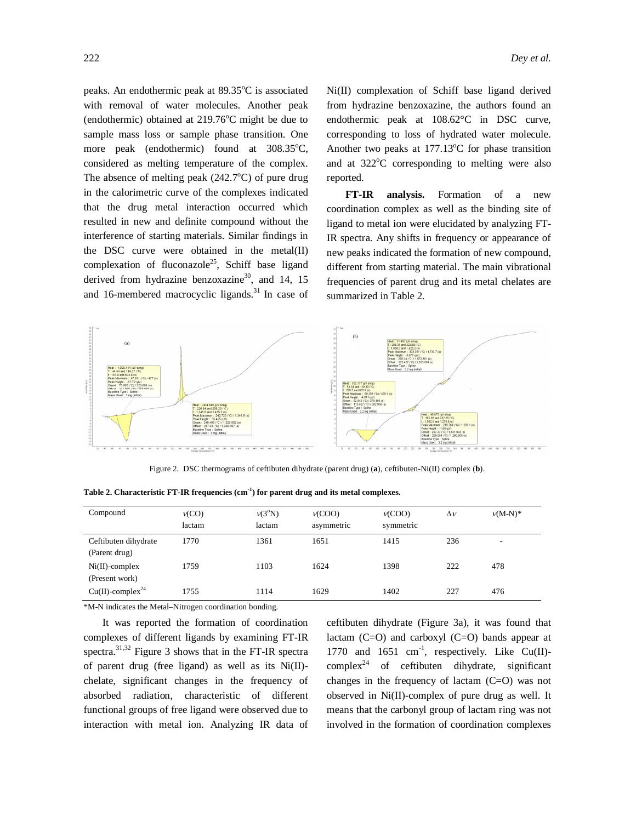peaks. An endothermic peak at  $89.35^{\circ}$ C is associated with removal of water molecules. Another peak (endothermic) obtained at  $219.76^{\circ}$ C might be due to sample mass loss or sample phase transition. One more peak (endothermic) found at  $308.35^{\circ}$ C, considered as melting temperature of the complex. The absence of melting peak  $(242.7^{\circ}C)$  of pure drug in the calorimetric curve of the complexes indicated that the drug metal interaction occurred which resulted in new and definite compound without the interference of starting materials. Similar findings in the DSC curve were obtained in the metal(II) complexation of fluconazole<sup>25</sup>, Schiff base ligand derived from hydrazine benzoxazine<sup>30</sup>, and 14, 15 and 16-membered macrocyclic ligands.<sup>31</sup> In case of

Ni(II) complexation of Schiff base ligand derived from hydrazine benzoxazine, the authors found an endothermic peak at 108.62°C in DSC curve, corresponding to loss of hydrated water molecule. Another two peaks at  $177.13^{\circ}$ C for phase transition and at  $322^{\circ}$ C corresponding to melting were also reported.

**FT-IR analysis.** Formation of a new coordination complex as well as the binding site of ligand to metal ion were elucidated by analyzing FT-IR spectra. Any shifts in frequency or appearance of new peaks indicated the formation of new compound, different from starting material. The main vibrational frequencies of parent drug and its metal chelates are summarized in Table 2.



Figure 2. DSC thermograms of ceftibuten dihydrate (parent drug) (**a**), ceftibuten-Ni(II) complex (**b**).

| Compound                              | v(CO)<br>lactam | $v(3^{\circ}N)$<br>lactam | V(COO)<br>asymmetric | V(COO)<br>symmetric | $\Delta v$ | $v(M-N)*$                |
|---------------------------------------|-----------------|---------------------------|----------------------|---------------------|------------|--------------------------|
| Ceftibuten dihydrate<br>(Parent drug) | 1770            | 1361                      | 1651                 | 1415                | 236        | $\overline{\phantom{a}}$ |
| $Ni(II)$ -complex<br>(Present work)   | 1759            | 1103                      | 1624                 | 1398                | 222        | 478                      |
| $Cu(II)$ -complex <sup>24</sup>       | 1755            | 1114                      | 1629                 | 1402                | 227        | 476                      |

**Table 2. Characteristic FT-IR frequencies (cm-1 ) for parent drug and its metal complexes.**

\*M-N indicates the Metal–Nitrogen coordination bonding.

It was reported the formation of coordination complexes of different ligands by examining FT-IR spectra.<sup>31,32</sup> Figure 3 shows that in the FT-IR spectra of parent drug (free ligand) as well as its Ni(II) chelate, significant changes in the frequency of absorbed radiation, characteristic of different functional groups of free ligand were observed due to interaction with metal ion. Analyzing IR data of ceftibuten dihydrate (Figure 3a), it was found that lactam  $(C=O)$  and carboxyl  $(C=O)$  bands appear at 1770 and  $1651$  cm<sup>-1</sup>, respectively. Like Cu(II)complex<sup>24</sup> of ceftibuten dihydrate, significant changes in the frequency of lactam (C=O) was not observed in Ni(II)-complex of pure drug as well. It means that the carbonyl group of lactam ring was not involved in the formation of coordination complexes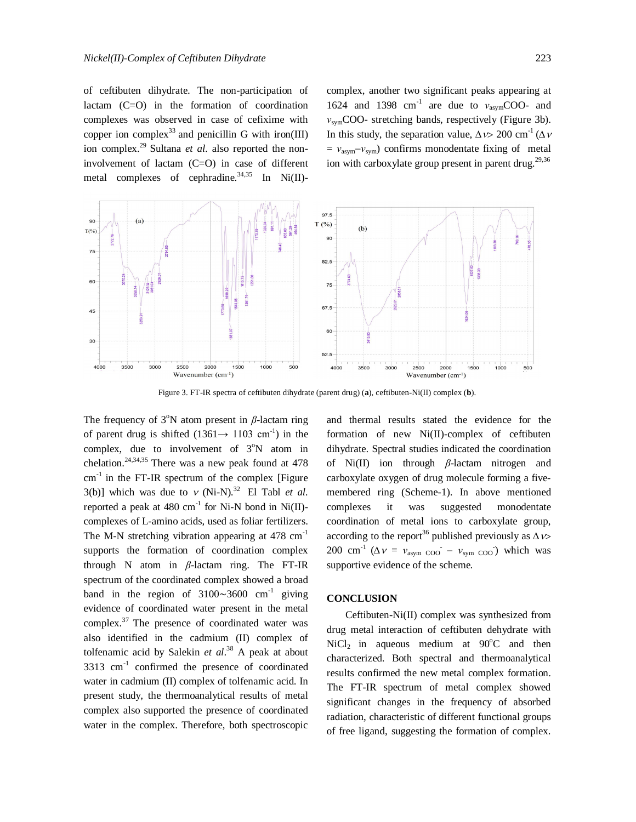of ceftibuten dihydrate. The non-participation of lactam (C=O) in the formation of coordination complexes was observed in case of cefixime with copper ion complex<sup>33</sup> and penicillin G with iron(III) ion complex. <sup>29</sup> Sultana *et al.* also reported the noninvolvement of lactam (C=O) in case of different metal complexes of cephradine.<sup>34,35</sup> In Ni(II)-

complex, another two significant peaks appearing at 1624 and 1398 cm<sup>-1</sup> are due to *ν*<sub>asym</sub>COO- and *ν*symCOO- stretching bands, respectively (Figure 3b). In this study, the separation value,  $\Delta v > 200$  cm<sup>-1</sup> ( $\Delta v$ )  $= v_{\text{asym}} - v_{\text{sym}}$ ) confirms monodentate fixing of metal ion with carboxylate group present in parent drug.<sup>29,36</sup>



Figure 3. FT-IR spectra of ceftibuten dihydrate (parent drug) (**a**), ceftibuten-Ni(II) complex (**b**).

The frequency of  $3^\circ$ N atom present in  $\beta$ -lactam ring of parent drug is shifted  $(1361 \rightarrow 1103 \text{ cm}^{-1})$  in the complex, due to involvement of  $3^{\circ}$ N atom in chelation. $24,34,35$  There was a new peak found at 478  $cm<sup>-1</sup>$  in the FT-IR spectrum of the complex [Figure 3(b)] which was due to  $v$  (Ni-N).<sup>32</sup> El Tabl *et al.* reported a peak at 480  $\text{cm}^{-1}$  for Ni-N bond in Ni(II)complexes of L-amino acids, used as foliar fertilizers. The M-N stretching vibration appearing at  $478 \text{ cm}^{-1}$ supports the formation of coordination complex through N atom in *β*-lactam ring. The FT-IR spectrum of the coordinated complex showed a broad band in the region of 3100∼3600  $cm^{-1}$  giving evidence of coordinated water present in the metal complex. $37$  The presence of coordinated water was also identified in the cadmium (II) complex of tolfenamic acid by Salekin *et al*. <sup>38</sup> A peak at about  $3313$  cm<sup>-1</sup> confirmed the presence of coordinated water in cadmium (II) complex of tolfenamic acid. In present study, the thermoanalytical results of metal complex also supported the presence of coordinated water in the complex. Therefore, both spectroscopic

and thermal results stated the evidence for the formation of new Ni(II)-complex of ceftibuten dihydrate. Spectral studies indicated the coordination of Ni(II) ion through *β*-lactam nitrogen and carboxylate oxygen of drug molecule forming a fivemembered ring (Scheme-1). In above mentioned complexes it was suggested monodentate coordination of metal ions to carboxylate group, according to the report<sup>36</sup> published previously as  $\Delta v$ > 200 cm<sup>-1</sup> ( $\Delta v = v_{\text{asym COO}} - v_{\text{sym COO}}$ ) which was supportive evidence of the scheme.

# **CONCLUSION**

Ceftibuten-Ni(II) complex was synthesized from drug metal interaction of ceftibuten dehydrate with  $NiCl<sub>2</sub>$  in aqueous medium at 90 $^{\circ}$ C and then characterized. Both spectral and thermoanalytical results confirmed the new metal complex formation. The FT-IR spectrum of metal complex showed significant changes in the frequency of absorbed radiation, characteristic of different functional groups of free ligand, suggesting the formation of complex.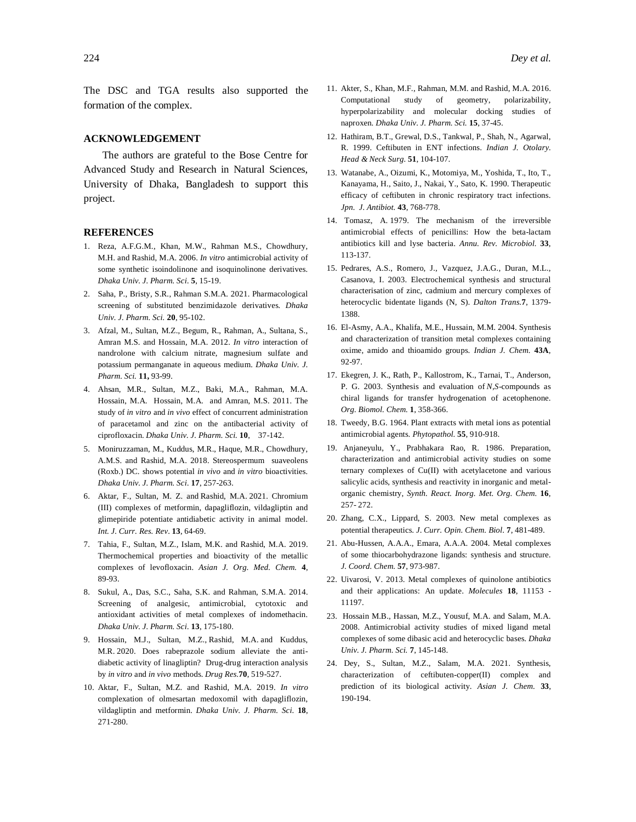The DSC and TGA results also supported the formation of the complex.

#### **ACKNOWLEDGEMENT**

The authors are grateful to the Bose Centre for Advanced Study and Research in Natural Sciences, University of Dhaka, Bangladesh to support this project.

### **REFERENCES**

- 1. Reza, A.F.G.M., Khan, M.W., Rahman M.S., Chowdhury, M.H. and Rashid, M.A. 2006. *In vitro* antimicrobial activity of some synthetic isoindolinone and isoquinolinone derivatives. *Dhaka Univ. J. Pharm. Sci.* **5**, 15-19.
- 2. Saha, P., Bristy, S.R., Rahman S.M.A. 2021. Pharmacological screening of substituted benzimidazole derivatives. *Dhaka Univ. J. Pharm. Sci.* **20**, 95-102.
- 3. Afzal, M., Sultan, M.Z., Begum, R., Rahman, A., Sultana, S., Amran M.S. and Hossain, M.A. 2012. *In vitro* interaction of nandrolone with calcium nitrate, magnesium sulfate and potassium permanganate in aqueous medium. *Dhaka Univ. J. Pharm. Sci.* **11,** 93-99.
- 4. Ahsan, M.R., Sultan, M.Z., Baki, M.A., Rahman, M.A. Hossain, M.A. Hossain, M.A. and Amran, M.S. 2011. The study of *in vitro* and *in vivo* effect of concurrent administration of paracetamol and zinc on the antibacterial activity of ciprofloxacin. *Dhaka Univ. J. Pharm. Sci.* **10**, 37-142.
- 5. Moniruzzaman, M., Kuddus, M.R., Haque, M.R., Chowdhury, A.M.S. and Rashid, M.A. 2018. Stereospermum suaveolens (Roxb.) DC. shows potential *in vivo* and *in vitro* bioactivities. *Dhaka Univ. J. Pharm. Sci.* **17**, 257-263.
- 6. Aktar, F., Sultan, M. Z. and Rashid, M.A. 2021. Chromium (III) complexes of metformin, dapagliflozin, vildagliptin and glimepiride potentiate antidiabetic activity in animal model. *Int. J. Curr. Res. Rev*. **13**, 64-69.
- 7. Tahia, F., Sultan, M.Z., Islam, M.K. and Rashid, M.A. 2019. Thermochemical properties and bioactivity of the metallic complexes of levofloxacin. *Asian J. Org. Med. Chem.* **4**, 89-93.
- 8. Sukul, A., Das, S.C., Saha, S.K. and Rahman, S.M.A. 2014. Screening of analgesic, antimicrobial, cytotoxic and antioxidant activities of metal complexes of indomethacin. *Dhaka Univ. J. Pharm. Sci.* **13**, 175-180.
- 9. Hossain, M.J., Sultan, M.Z., Rashid, M.A. and Kuddus, M.R. 2020. Does rabeprazole sodium alleviate the antidiabetic activity of linagliptin? Drug-drug interaction analysis by *in vitro* and *in vivo* methods. *Drug Res.***70**, 519-527.
- 10. Aktar, F., Sultan, M.Z. and Rashid, M.A. 2019. *In vitro* complexation of olmesartan medoxomil with dapagliflozin, vildagliptin and metformin. *Dhaka Univ. J. Pharm. Sci*. **18**, 271-280.
- 11. Akter, S., Khan, M.F., Rahman, M.M. and Rashid, M.A. 2016. Computational study of geometry, polarizability, hyperpolarizability and molecular docking studies of naproxen. *Dhaka Univ. J. Pharm. Sci.* **15**, 37-45.
- 12. Hathiram, B.T., Grewal, D.S., Tankwal, P., Shah, N., Agarwal, R. 1999. Ceftibuten in ENT infections. *Indian J. Otolary. Head & Neck Surg.* **51**, 104-107.
- 13. Watanabe, A., Oizumi, K., Motomiya, M., Yoshida, T., Ito, T., Kanayama, H., Saito, J., Nakai, Y., Sato, K. 1990. Therapeutic efficacy of ceftibuten in chronic respiratory tract infections. *Jpn. J. Antibiot.* **43**, 768-778.
- 14. Tomasz, A. 1979. The mechanism of the irreversible antimicrobial effects of penicillins: How the beta-lactam antibiotics kill and lyse bacteria. *Annu. Rev. Microbiol.* **33**, 113-137.
- 15. Pedrares, A.S., Romero, J., Vazquez, J.A.G., Duran, M.L., Casanova, I. 2003. Electrochemical synthesis and structural characterisation of zinc, cadmium and mercury complexes of heterocyclic bidentate ligands (N, S). *Dalton Trans.***7**, 1379- 1388.
- 16. El-Asmy, A.A., Khalifa, M.E., Hussain, M.M. 2004. Synthesis and characterization of transition metal complexes containing oxime, amido and thioamido groups. *Indian J. Chem.* **43A**, 92-97.
- 17. Ekegren, J. K., Rath, P., Kallostrom, K., Tarnai, T., Anderson, P. G. 2003. Synthesis and evaluation of *N*,*S*-compounds as chiral ligands for transfer hydrogenation of acetophenone. *Org. Biomol. Chem.* **1**, 358-366.
- 18. Tweedy, B.G. 1964. Plant extracts with metal ions as potential antimicrobial agents. *Phytopathol.* **55**, 910-918.
- 19. Anjaneyulu, Y., Prabhakara Rao, R. 1986. Preparation, characterization and antimicrobial activity studies on some ternary complexes of Cu(II) with acetylacetone and various salicylic acids, synthesis and reactivity in inorganic and metalorganic chemistry, *Synth. React. Inorg. Met. Org. Chem.* **16**, 257- 272.
- 20. Zhang, C.X., Lippard, S. 2003. New metal complexes as potential therapeutics. *J*. *Curr. Opin. Chem. Biol*. **7**, 481-489.
- 21. Abu-Hussen, A.A.A., Emara, A.A.A. 2004. Metal complexes of some thiocarbohydrazone ligands: synthesis and structure. *J. Coord. Chem.* **57**, 973-987.
- 22. Uivarosi, V. 2013. Metal complexes of quinolone antibiotics and their applications: An update. *Molecules* **18**, 11153 - 11197.
- 23. Hossain M.B., Hassan, M.Z., Yousuf, M.A. and Salam, M.A. 2008. Antimicrobial activity studies of mixed ligand metal complexes of some dibasic acid and heterocyclic bases. *Dhaka Univ. J. Pharm. Sci.* **7**, 145-148.
- 24. Dey, S., Sultan, M.Z., Salam, M.A. 2021. Synthesis, characterization of ceftibuten-copper(II) complex and prediction of its biological activity. *Asian J. Chem.* **33**, 190-194.